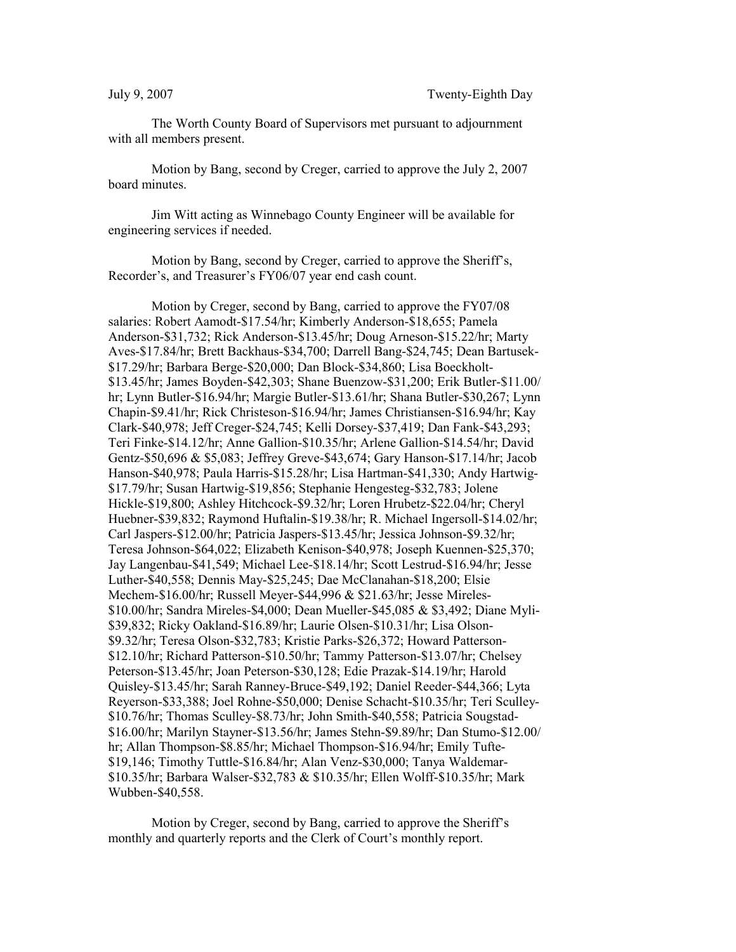The Worth County Board of Supervisors met pursuant to adjournment with all members present.

Motion by Bang, second by Creger, carried to approve the July 2, 2007 board minutes.

Jim Witt acting as Winnebago County Engineer will be available for engineering services if needed.

Motion by Bang, second by Creger, carried to approve the Sheriff's, Recorder's, and Treasurer's FY06/07 year end cash count.

Motion by Creger, second by Bang, carried to approve the FY07/08 salaries: Robert Aamodt-\$17.54/hr; Kimberly Anderson-\$18,655; Pamela Anderson-\$31,732; Rick Anderson-\$13.45/hr; Doug Arneson-\$15.22/hr; Marty Aves-\$17.84/hr; Brett Backhaus-\$34,700; Darrell Bang-\$24,745; Dean Bartusek- \$17.29/hr; Barbara Berge-\$20,000; Dan Block-\$34,860; Lisa Boeckholt- \$13.45/hr; James Boyden-\$42,303; Shane Buenzow-\$31,200; Erik Butler-\$11.00/ hr; Lynn Butler-\$16.94/hr; Margie Butler-\$13.61/hr; Shana Butler-\$30,267; Lynn Chapin-\$9.41/hr; Rick Christeson-\$16.94/hr; James Christiansen-\$16.94/hr; Kay Clark-\$40,978; Jeff Creger-\$24,745; Kelli Dorsey-\$37,419; Dan Fank-\$43,293; Teri Finke-\$14.12/hr; Anne Gallion-\$10.35/hr; Arlene Gallion-\$14.54/hr; David Gentz-\$50,696 & \$5,083; Jeffrey Greve-\$43,674; Gary Hanson-\$17.14/hr; Jacob Hanson-\$40,978; Paula Harris-\$15.28/hr; Lisa Hartman-\$41,330; Andy Hartwig- \$17.79/hr; Susan Hartwig-\$19,856; Stephanie Hengesteg-\$32,783; Jolene Hickle-\$19,800; Ashley Hitchcock-\$9.32/hr; Loren Hrubetz-\$22.04/hr; Cheryl Huebner-\$39,832; Raymond Huftalin-\$19.38/hr; R. Michael Ingersoll-\$14.02/hr; Carl Jaspers-\$12.00/hr; Patricia Jaspers-\$13.45/hr; Jessica Johnson-\$9.32/hr; Teresa Johnson-\$64,022; Elizabeth Kenison-\$40,978; Joseph Kuennen-\$25,370; Jay Langenbau-\$41,549; Michael Lee-\$18.14/hr; Scott Lestrud-\$16.94/hr; Jesse Luther-\$40,558; Dennis May-\$25,245; Dae McClanahan-\$18,200; Elsie Mechem-\$16.00/hr; Russell Meyer-\$44,996 & \$21.63/hr; Jesse Mireles- \$10.00/hr; Sandra Mireles-\$4,000; Dean Mueller-\$45,085 & \$3,492; Diane Myli- \$39,832; Ricky Oakland-\$16.89/hr; Laurie Olsen-\$10.31/hr; Lisa Olson- \$9.32/hr; Teresa Olson-\$32,783; Kristie Parks-\$26,372; Howard Patterson- \$12.10/hr; Richard Patterson-\$10.50/hr; Tammy Patterson-\$13.07/hr; Chelsey Peterson-\$13.45/hr; Joan Peterson-\$30,128; Edie Prazak-\$14.19/hr; Harold Quisley-\$13.45/hr; Sarah Ranney-Bruce-\$49,192; Daniel Reeder-\$44,366; Lyta Reyerson-\$33,388; Joel Rohne-\$50,000; Denise Schacht-\$10.35/hr; Teri Sculley- \$10.76/hr; Thomas Sculley-\$8.73/hr; John Smith-\$40,558; Patricia Sougstad- \$16.00/hr; Marilyn Stayner-\$13.56/hr; James Stehn-\$9.89/hr; Dan Stumo-\$12.00/ hr; Allan Thompson-\$8.85/hr; Michael Thompson-\$16.94/hr; Emily Tufte- \$19,146; Timothy Tuttle-\$16.84/hr; Alan Venz-\$30,000; Tanya Waldemar- \$10.35/hr; Barbara Walser-\$32,783 & \$10.35/hr; Ellen Wolff-\$10.35/hr; Mark Wubben-\$40,558.

Motion by Creger, second by Bang, carried to approve the Sheriff's monthly and quarterly reports and the Clerk of Court's monthly report.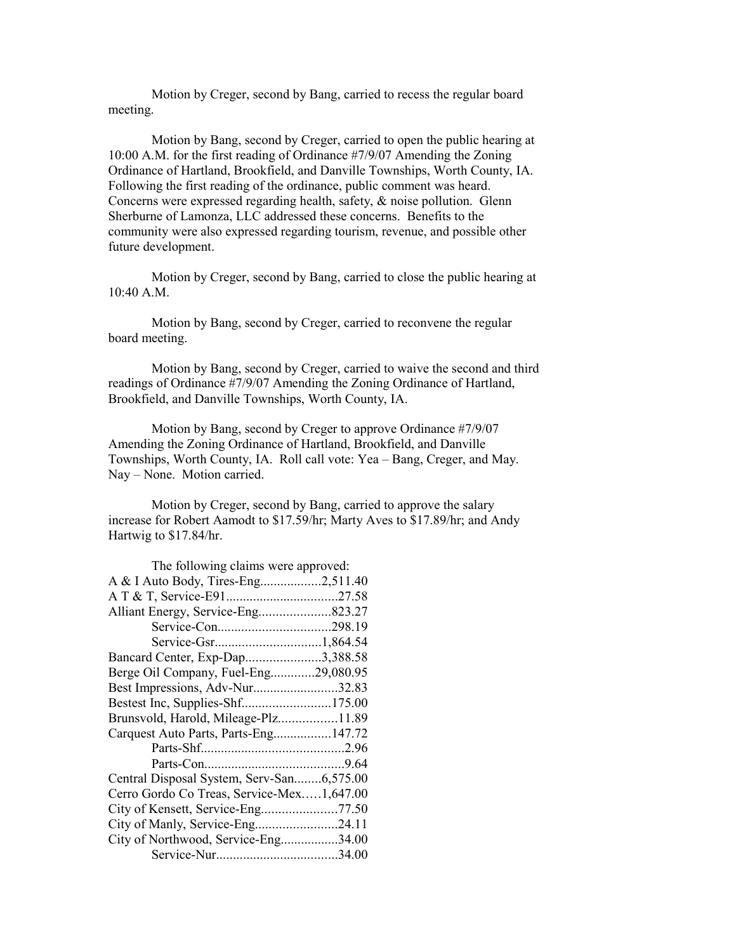Motion by Creger, second by Bang, carried to recess the regular board meeting.

Motion by Bang, second by Creger, carried to open the public hearing at 10:00 A.M. for the first reading of Ordinance #7/9/07 Amending the Zoning Ordinance of Hartland, Brookfield, and Danville Townships, Worth County, IA. Following the first reading of the ordinance, public comment was heard. Concerns were expressed regarding health, safety, & noise pollution. Glenn Sherburne of Lamonza, LLC addressed these concerns. Benefits to the community were also expressed regarding tourism, revenue, and possible other future development.

Motion by Creger, second by Bang, carried to close the public hearing at 10:40 A.M.

Motion by Bang, second by Creger, carried to reconvene the regular board meeting.

Motion by Bang, second by Creger, carried to waive the second and third readings of Ordinance #7/9/07 Amending the Zoning Ordinance of Hartland, Brookfield, and Danville Townships, Worth County, IA.

Motion by Bang, second by Creger to approve Ordinance #7/9/07 Amending the Zoning Ordinance of Hartland, Brookfield, and Danville Townships, Worth County, IA. Roll call vote: Yea – Bang, Creger, and May. Nay – None. Motion carried.

Motion by Creger, second by Bang, carried to approve the salary increase for Robert Aamodt to \$17.59/hr; Marty Aves to \$17.89/hr; and Andy Hartwig to \$17.84/hr.

| The following claims were approved:       |  |
|-------------------------------------------|--|
| A & I Auto Body, Tires-Eng2,511.40        |  |
|                                           |  |
| Alliant Energy, Service-Eng823.27         |  |
|                                           |  |
|                                           |  |
| Bancard Center, Exp-Dap3,388.58           |  |
| Berge Oil Company, Fuel-Eng29,080.95      |  |
| Best Impressions, Adv-Nur32.83            |  |
| Bestest Inc, Supplies-Shf175.00           |  |
| Brunsvold, Harold, Mileage-Plz11.89       |  |
| Carquest Auto Parts, Parts-Eng147.72      |  |
|                                           |  |
|                                           |  |
| Central Disposal System, Serv-San6,575.00 |  |
| Cerro Gordo Co Treas, Service-Mex1,647.00 |  |
|                                           |  |
| City of Manly, Service-Eng24.11           |  |
| City of Northwood, Service-Eng34.00       |  |
|                                           |  |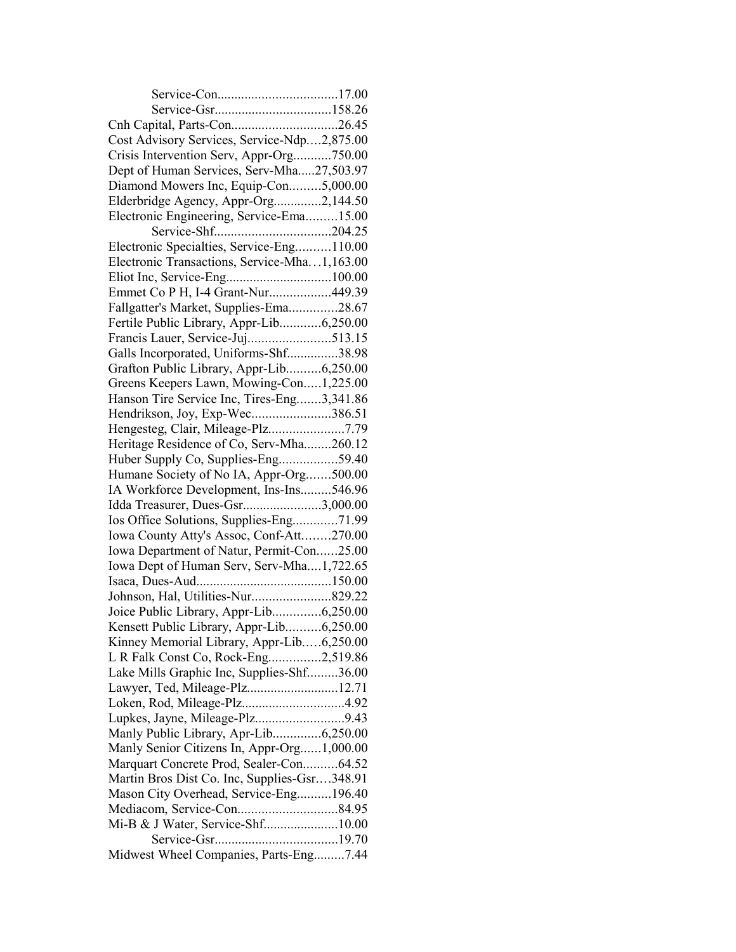| Cost Advisory Services, Service-Ndp2,875.00  |  |
|----------------------------------------------|--|
| Crisis Intervention Serv, Appr-Org750.00     |  |
| Dept of Human Services, Serv-Mha27,503.97    |  |
| Diamond Mowers Inc, Equip-Con5,000.00        |  |
| Elderbridge Agency, Appr-Org2,144.50         |  |
| Electronic Engineering, Service-Ema15.00     |  |
|                                              |  |
| Electronic Specialties, Service-Eng110.00    |  |
| Electronic Transactions, Service-Mha1,163.00 |  |
|                                              |  |
| Emmet Co P H, I-4 Grant-Nur449.39            |  |
| Fallgatter's Market, Supplies-Ema28.67       |  |
| Fertile Public Library, Appr-Lib6,250.00     |  |
|                                              |  |
| Galls Incorporated, Uniforms-Shf38.98        |  |
| Grafton Public Library, Appr-Lib6,250.00     |  |
| Greens Keepers Lawn, Mowing-Con1,225.00      |  |
| Hanson Tire Service Inc, Tires-Eng3,341.86   |  |
| Hendrikson, Joy, Exp-Wec386.51               |  |
| Hengesteg, Clair, Mileage-Plz7.79            |  |
| Heritage Residence of Co, Serv-Mha260.12     |  |
| Huber Supply Co, Supplies-Eng59.40           |  |
| Humane Society of No IA, Appr-Org500.00      |  |
| IA Workforce Development, Ins-Ins546.96      |  |
| Idda Treasurer, Dues-Gsr3,000.00             |  |
| Ios Office Solutions, Supplies-Eng71.99      |  |
| Iowa County Atty's Assoc, Conf-Att270.00     |  |
| Iowa Department of Natur, Permit-Con25.00    |  |
| Iowa Dept of Human Serv, Serv-Mha1,722.65    |  |
|                                              |  |
|                                              |  |
| Joice Public Library, Appr-Lib6,250.00       |  |
| Kensett Public Library, Appr-Lib6,250.00     |  |
| Kinney Memorial Library, Appr-Lib6,250.00    |  |
| L R Falk Const Co, Rock-Eng2,519.86          |  |
| Lake Mills Graphic Inc, Supplies-Shf36.00    |  |
| Lawyer, Ted, Mileage-Plz12.71                |  |
|                                              |  |
|                                              |  |
| Manly Public Library, Apr-Lib6,250.00        |  |
| Manly Senior Citizens In, Appr-Org1,000.00   |  |
| Marquart Concrete Prod, Sealer-Con64.52      |  |
| Martin Bros Dist Co. Inc, Supplies-Gsr348.91 |  |
| Mason City Overhead, Service-Eng196.40       |  |
|                                              |  |
|                                              |  |
|                                              |  |
| Midwest Wheel Companies, Parts-Eng7.44       |  |
|                                              |  |